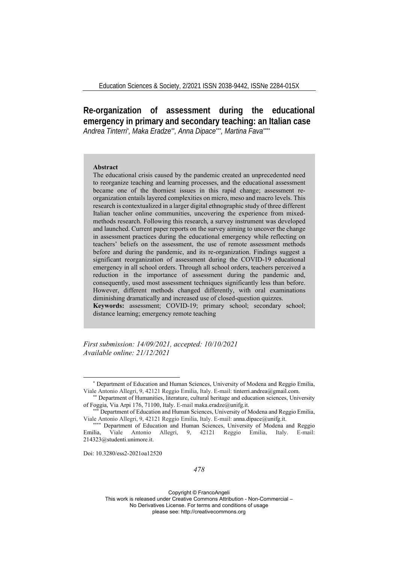**Re-organization of assessment during the educational emergency in primary and secondary teaching: an Italian case**  *Andrea Tinterri\* , Maka Eradze\*\*, Anna Dipace\*\*\*, Martina Fava\*\*\*\**

### **Abstract**

The educational crisis caused by the pandemic created an unprecedented need to reorganize teaching and learning processes, and the educational assessment became one of the thorniest issues in this rapid change; assessment reorganization entails layered complexities on micro, meso and macro levels. This research is contextualized in a larger digital ethnographic study of three different Italian teacher online communities, uncovering the experience from mixedmethods research. Following this research, a survey instrument was developed and launched. Current paper reports on the survey aiming to uncover the change in assessment practices during the educational emergency while reflecting on teachers' beliefs on the assessment, the use of remote assessment methods before and during the pandemic, and its re-organization. Findings suggest a significant reorganization of assessment during the COVID-19 educational emergency in all school orders. Through all school orders, teachers perceived a reduction in the importance of assessment during the pandemic and, consequently, used most assessment techniques significantly less than before. However, different methods changed differently, with oral examinations diminishing dramatically and increased use of closed-question quizzes.

**Keywords:** assessment; COVID-19; primary school; secondary school; distance learning; emergency remote teaching

*First submission: 14/09/2021, accepted: 10/10/2021 Available online: 21/12/2021*

Doi: 10.3280/ess2-2021oa12520

<sup>\*</sup> Department of Education and Human Sciences, University of Modena and Reggio Emilia, Viale Antonio Allegri, 9, 42121 Reggio Emilia, Italy. E-mail: tinterri.andrea@gmail.com.

<sup>\*\*</sup> Department of Humanities, literature, cultural heritage and education sciences, University of Foggia, Via Arpi 176, 71100, Italy. E-mail maka.eradze@unifg.it.

Department of Education and Human Sciences, University of Modena and Reggio Emilia, Viale Antonio Allegri, 9, 42121 Reggio Emilia, Italy. E-mail: anna.dipace@unifg.it. \*\*\*\* Department of Education and Human Sciences, University of Modena and Reggio

Emilia, Viale Antonio Allegri, 9, 42121 Reggio Emilia, Italy. E-mail: 214323@studenti.unimore.it.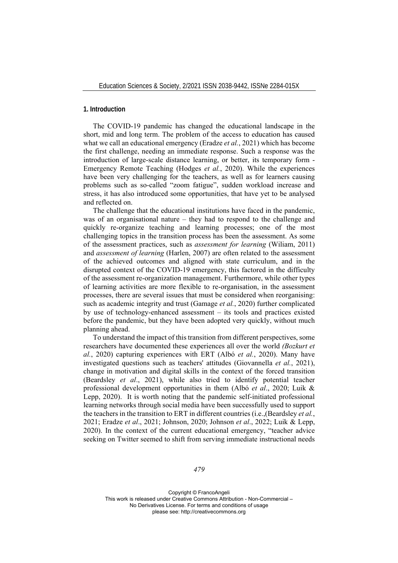## **1. Introduction**

The COVID-19 pandemic has changed the educational landscape in the short, mid and long term. The problem of the access to education has caused what we call an educational emergency (Eradze *et al.*, 2021) which has become the first challenge, needing an immediate response. Such a response was the introduction of large-scale distance learning, or better, its temporary form - Emergency Remote Teaching (Hodges *et al.*, 2020). While the experiences have been very challenging for the teachers, as well as for learners causing problems such as so-called "zoom fatigue", sudden workload increase and stress, it has also introduced some opportunities, that have yet to be analysed and reflected on.

The challenge that the educational institutions have faced in the pandemic, was of an organisational nature – they had to respond to the challenge and quickly re-organize teaching and learning processes; one of the most challenging topics in the transition process has been the assessment. As some of the assessment practices, such as *assessment for learning* (Wiliam, 2011) and *assessment of learning* (Harlen, 2007) are often related to the assessment of the achieved outcomes and aligned with state curriculum, and in the disrupted context of the COVID-19 emergency, this factored in the difficulty of the assessment re-organization management. Furthermore, while other types of learning activities are more flexible to re-organisation, in the assessment processes, there are several issues that must be considered when reorganising: such as academic integrity and trust (Gamage *et al.*, 2020) further complicated by use of technology-enhanced assessment – its tools and practices existed before the pandemic, but they have been adopted very quickly, without much planning ahead.

To understand the impact of this transition from different perspectives, some researchers have documented these experiences all over the world *(Bozkurt et al.*, 2020) capturing experiences with ERT (Albó *et al.*, 2020). Many have investigated questions such as teachers' attitudes (Giovannella *et al.*, 2021), change in motivation and digital skills in the context of the forced transition (Beardsley *et al*., 2021), while also tried to identify potential teacher professional development opportunities in them (Albó *et al*., 2020; Luik & Lepp, 2020). It is worth noting that the pandemic self-initiated professional learning networks through social media have been successfully used to support the teachers in the transition to ERT in different countries (i.e.,(Beardsley *et al.*, 2021; Eradze *et al*., 2021; Johnson, 2020; Johnson *et al*., 2022; Luik & Lepp, 2020). In the context of the current educational emergency, "teacher advice seeking on Twitter seemed to shift from serving immediate instructional needs

*479*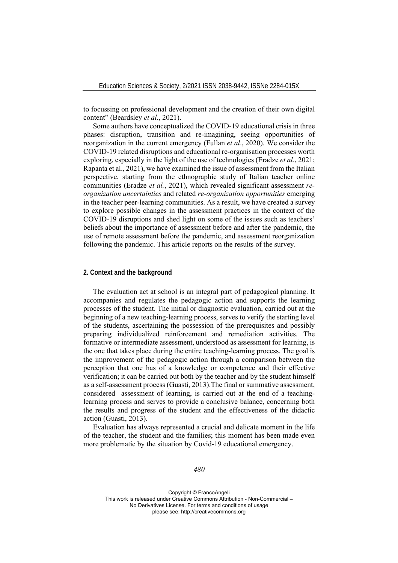to focussing on professional development and the creation of their own digital content" (Beardsley *et al*., 2021).

Some authors have conceptualized the COVID-19 educational crisis in three phases: disruption, transition and re-imagining, seeing opportunities of reorganization in the current emergency (Fullan *et al*., 2020). We consider the COVID-19 related disruptions and educational re-organisation processes worth exploring, especially in the light of the use of technologies (Eradze *et al*., 2021; Rapanta et al., 2021), we have examined the issue of assessment from the Italian perspective, starting from the ethnographic study of Italian teacher online communities (Eradze *et al.*, 2021), which revealed significant assessment *reorganization uncertainties* and related *re-organization opportunities* emerging in the teacher peer-learning communities. As a result, we have created a survey to explore possible changes in the assessment practices in the context of the COVID-19 disruptions and shed light on some of the issues such as teachers' beliefs about the importance of assessment before and after the pandemic, the use of remote assessment before the pandemic, and assessment reorganization following the pandemic. This article reports on the results of the survey.

## **2. Context and the background**

The evaluation act at school is an integral part of pedagogical planning. It accompanies and regulates the pedagogic action and supports the learning processes of the student. The initial or diagnostic evaluation, carried out at the beginning of a new teaching-learning process, serves to verify the starting level of the students, ascertaining the possession of the prerequisites and possibly preparing individualized reinforcement and remediation activities. The formative or intermediate assessment, understood as assessment for learning, is the one that takes place during the entire teaching-learning process. The goal is the improvement of the pedagogic action through a comparison between the perception that one has of a knowledge or competence and their effective verification; it can be carried out both by the teacher and by the student himself as a self-assessment process (Guasti, 2013).The final or summative assessment, considered assessment of learning, is carried out at the end of a teachinglearning process and serves to provide a conclusive balance, concerning both the results and progress of the student and the effectiveness of the didactic action (Guasti, 2013).

Evaluation has always represented a crucial and delicate moment in the life of the teacher, the student and the families; this moment has been made even more problematic by the situation by Covid-19 educational emergency.

## *480*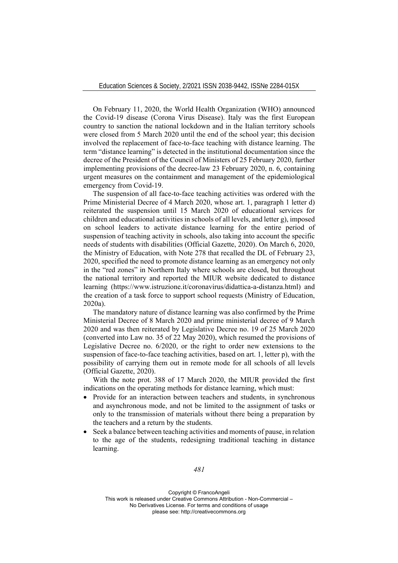On February 11, 2020, the World Health Organization (WHO) announced the Covid-19 disease (Corona Virus Disease). Italy was the first European country to sanction the national lockdown and in the Italian territory schools were closed from 5 March 2020 until the end of the school year; this decision involved the replacement of face-to-face teaching with distance learning. The term "distance learning" is detected in the institutional documentation since the decree of the President of the Council of Ministers of 25 February 2020, further implementing provisions of the decree-law 23 February 2020, n. 6, containing urgent measures on the containment and management of the epidemiological emergency from Covid-19.

The suspension of all face-to-face teaching activities was ordered with the Prime Ministerial Decree of 4 March 2020, whose art. 1, paragraph 1 letter d) reiterated the suspension until 15 March 2020 of educational services for children and educational activities in schools of all levels, and letter g), imposed on school leaders to activate distance learning for the entire period of suspension of teaching activity in schools, also taking into account the specific needs of students with disabilities (Official Gazette, 2020). On March 6, 2020, the Ministry of Education, with Note 278 that recalled the DL of February 23, 2020, specified the need to promote distance learning as an emergency not only in the "red zones" in Northern Italy where schools are closed, but throughout the national territory and reported the MIUR website dedicated to distance learning (https://www.istruzione.it/coronavirus/didattica-a-distanza.html) and the creation of a task force to support school requests (Ministry of Education, 2020a).

The mandatory nature of distance learning was also confirmed by the Prime Ministerial Decree of 8 March 2020 and prime ministerial decree of 9 March 2020 and was then reiterated by Legislative Decree no. 19 of 25 March 2020 (converted into Law no. 35 of 22 May 2020), which resumed the provisions of Legislative Decree no. 6/2020, or the right to order new extensions to the suspension of face-to-face teaching activities, based on art. 1, letter p), with the possibility of carrying them out in remote mode for all schools of all levels (Official Gazette, 2020).

With the note prot. 388 of 17 March 2020, the MIUR provided the first indications on the operating methods for distance learning, which must:

- Provide for an interaction between teachers and students, in synchronous and asynchronous mode, and not be limited to the assignment of tasks or only to the transmission of materials without there being a preparation by the teachers and a return by the students.
- Seek a balance between teaching activities and moments of pause, in relation to the age of the students, redesigning traditional teaching in distance learning.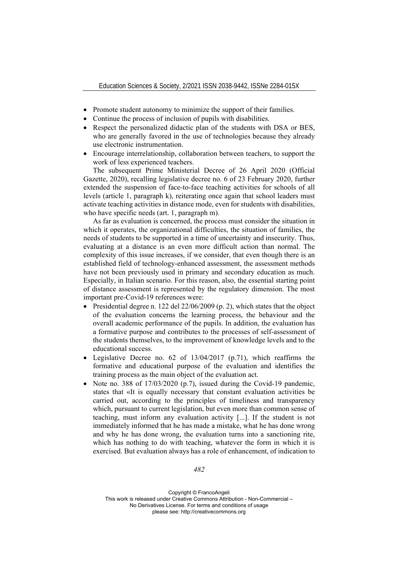- Promote student autonomy to minimize the support of their families.
- Continue the process of inclusion of pupils with disabilities.
- Respect the personalized didactic plan of the students with DSA or BES, who are generally favored in the use of technologies because they already use electronic instrumentation.
- Encourage interrelationship, collaboration between teachers, to support the work of less experienced teachers.

The subsequent Prime Ministerial Decree of 26 April 2020 (Official Gazette, 2020), recalling legislative decree no. 6 of 23 February 2020, further extended the suspension of face-to-face teaching activities for schools of all levels (article 1, paragraph k), reiterating once again that school leaders must activate teaching activities in distance mode, even for students with disabilities, who have specific needs (art. 1, paragraph m).

As far as evaluation is concerned, the process must consider the situation in which it operates, the organizational difficulties, the situation of families, the needs of students to be supported in a time of uncertainty and insecurity. Thus, evaluating at a distance is an even more difficult action than normal. The complexity of this issue increases, if we consider, that even though there is an established field of technology-enhanced assessment, the assessment methods have not been previously used in primary and secondary education as much. Especially, in Italian scenario. For this reason, also, the essential starting point of distance assessment is represented by the regulatory dimension. The most important pre-Covid-19 references were:

- Presidential degree n. 122 del  $22/06/2009$  (p. 2), which states that the object of the evaluation concerns the learning process, the behaviour and the overall academic performance of the pupils. In addition, the evaluation has a formative purpose and contributes to the processes of self-assessment of the students themselves, to the improvement of knowledge levels and to the educational success.
- Legislative Decree no. 62 of 13/04/2017 (p.71), which reaffirms the formative and educational purpose of the evaluation and identifies the training process as the main object of the evaluation act.
- Note no. 388 of 17/03/2020 (p.7), issued during the Covid-19 pandemic, states that «It is equally necessary that constant evaluation activities be carried out, according to the principles of timeliness and transparency which, pursuant to current legislation, but even more than common sense of teaching, must inform any evaluation activity [...]. If the student is not immediately informed that he has made a mistake, what he has done wrong and why he has done wrong, the evaluation turns into a sanctioning rite, which has nothing to do with teaching, whatever the form in which it is exercised. But evaluation always has a role of enhancement, of indication to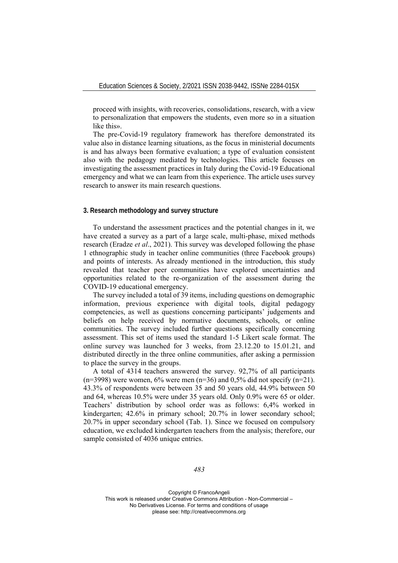proceed with insights, with recoveries, consolidations, research, with a view to personalization that empowers the students, even more so in a situation like this».

The pre-Covid-19 regulatory framework has therefore demonstrated its value also in distance learning situations, as the focus in ministerial documents is and has always been formative evaluation; a type of evaluation consistent also with the pedagogy mediated by technologies. This article focuses on investigating the assessment practices in Italy during the Covid-19 Educational emergency and what we can learn from this experience. The article uses survey research to answer its main research questions.

# **3. Research methodology and survey structure**

To understand the assessment practices and the potential changes in it, we have created a survey as a part of a large scale, multi-phase, mixed methods research (Eradze *et al*., 2021). This survey was developed following the phase 1 ethnographic study in teacher online communities (three Facebook groups) and points of interests. As already mentioned in the introduction, this study revealed that teacher peer communities have explored uncertainties and opportunities related to the re-organization of the assessment during the COVID-19 educational emergency.

The survey included a total of 39 items, including questions on demographic information, previous experience with digital tools, digital pedagogy competencies, as well as questions concerning participants' judgements and beliefs on help received by normative documents, schools, or online communities. The survey included further questions specifically concerning assessment. This set of items used the standard 1-5 Likert scale format. The online survey was launched for 3 weeks, from 23.12.20 to 15.01.21, and distributed directly in the three online communities, after asking a permission to place the survey in the groups.

A total of 4314 teachers answered the survey. 92,7% of all participants  $(n=3998)$  were women, 6% were men  $(n=36)$  and 0,5% did not specify  $(n=21)$ . 43.3% of respondents were between 35 and 50 years old, 44.9% between 50 and 64, whereas 10.5% were under 35 years old. Only 0.9% were 65 or older. Teachers' distribution by school order was as follows: 6,4% worked in kindergarten; 42.6% in primary school; 20.7% in lower secondary school; 20.7% in upper secondary school (Tab. 1). Since we focused on compulsory education, we excluded kindergarten teachers from the analysis; therefore, our sample consisted of 4036 unique entries.

*483*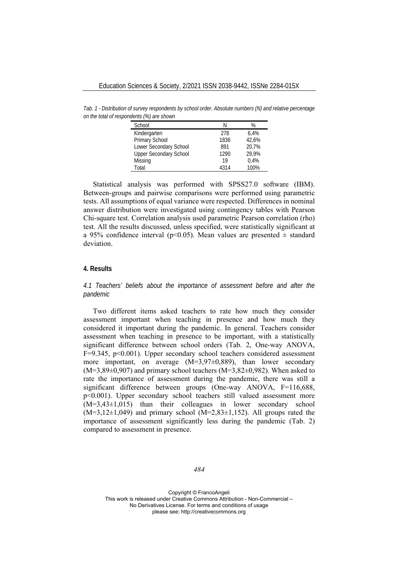*Tab. 1 - Distribution of survey respondents by school order. Absolute numbers (N) and relative percentage on the total of respondents (%) are shown*

| School                        |      | $\%$  |
|-------------------------------|------|-------|
| Kindergarten                  | 278  | 6.4%  |
| Primary School                | 1836 | 42.6% |
| Lower Secondary School        | 891  | 20.7% |
| <b>Upper Secondary School</b> | 1290 | 29.9% |
| Missing                       | 19   | 0.4%  |
| Total                         | 4314 | 100%  |

Statistical analysis was performed with SPSS27.0 software (IBM). Between-groups and pairwise comparisons were performed using parametric tests. All assumptions of equal variance were respected. Differences in nominal answer distribution were investigated using contingency tables with Pearson Chi-square test. Correlation analysis used parametric Pearson correlation (rho) test. All the results discussed, unless specified, were statistically significant at a 95% confidence interval (p<0.05). Mean values are presented  $\pm$  standard deviation.

# **4. Results**

*4.1 Teachers' beliefs about the importance of assessment before and after the pandemic* 

Two different items asked teachers to rate how much they consider assessment important when teaching in presence and how much they considered it important during the pandemic. In general. Teachers consider assessment when teaching in presence to be important, with a statistically significant difference between school orders (Tab. 2, One-way ANOVA, F=9.345, p<0.001). Upper secondary school teachers considered assessment more important, on average  $(M=3,97\pm0,889)$ , than lower secondary  $(M=3,89\pm0,907)$  and primary school teachers  $(M=3,82\pm0,982)$ . When asked to rate the importance of assessment during the pandemic, there was still a significant difference between groups (One-way ANOVA, F=116,688, p<0.001). Upper secondary school teachers still valued assessment more (M=3,43±1,015) than their colleagues in lower secondary school  $(M=3,12\pm1,049)$  and primary school  $(M=2,83\pm1,152)$ . All groups rated the importance of assessment significantly less during the pandemic (Tab. 2) compared to assessment in presence.

*484*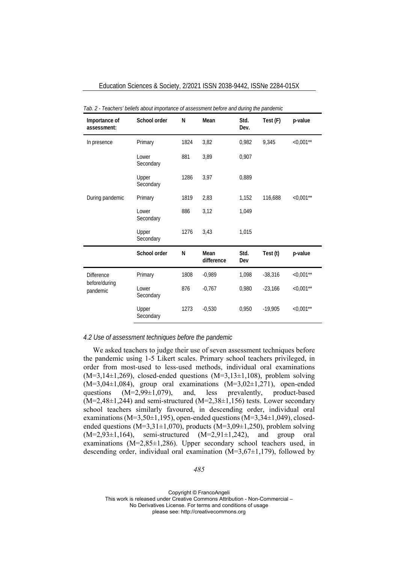| Importance of<br>assessment: | School order       | N    | Mean               | Std.<br>Dev. | Test (F)  | p-value       |
|------------------------------|--------------------|------|--------------------|--------------|-----------|---------------|
| In presence                  | Primary            | 1824 | 3,82               | 0,982        | 9,345     | ${<}0,001***$ |
|                              | Lower<br>Secondary | 881  | 3,89               | 0,907        |           |               |
|                              | Upper<br>Secondary | 1286 | 3,97               | 0,889        |           |               |
| During pandemic              | Primary            | 1819 | 2,83               | 1,152        | 116,688   | ${<}0,001**$  |
|                              | Lower<br>Secondary | 886  | 3,12               | 1,049        |           |               |
|                              | Upper<br>Secondary | 1276 | 3,43               | 1,015        |           |               |
|                              | School order       | N    | Mean<br>difference | Std.<br>Dev  | Test (t)  | p-value       |
| <b>Difference</b>            | Primary            | 1808 | $-0,989$           | 1,098        | $-38,316$ | $< 0,001**$   |
| before/during<br>pandemic    | Lower<br>Secondary | 876  | $-0.767$           | 0,980        | $-23,166$ | $< 0,001$ **  |
|                              | Upper<br>Secondary | 1273 | $-0,530$           | 0,950        | $-19,905$ | $<0,001**$    |

Education Sciences & Society, 2/2021 ISSN 2038-9442, ISSNe 2284-015X

#### *Tab. 2 - Teachers' beliefs about importance of assessment before and during the pandemic*

## *4.2 Use of assessment techniques before the pandemic*

We asked teachers to judge their use of seven assessment techniques before the pandemic using 1-5 Likert scales. Primary school teachers privileged, in order from most-used to less-used methods, individual oral examinations  $(M=3,14\pm1,269)$ , closed-ended questions  $(M=3,13\pm1,108)$ , problem solving  $(M=3,04\pm1,084)$ , group oral examinations  $(M=3,02\pm1,271)$ , open-ended questions (M=2,99±1,079), and, less prevalently, product-based  $(M=2,48\pm1,244)$  and semi-structured  $(M=2,38\pm1,156)$  tests. Lower secondary school teachers similarly favoured, in descending order, individual oral examinations (M=3,50 $\pm$ 1,195), open-ended questions (M=3,34 $\pm$ 1,049), closedended questions ( $M=3,31\pm1,070$ ), products ( $M=3,09\pm1,250$ ), problem solving  $(M=2,93\pm1,164)$ , semi-structured  $(M=2,91\pm1,242)$ , and group oral examinations (M=2,85±1,286). Upper secondary school teachers used, in descending order, individual oral examination  $(M=3,67\pm1,179)$ , followed by

*485*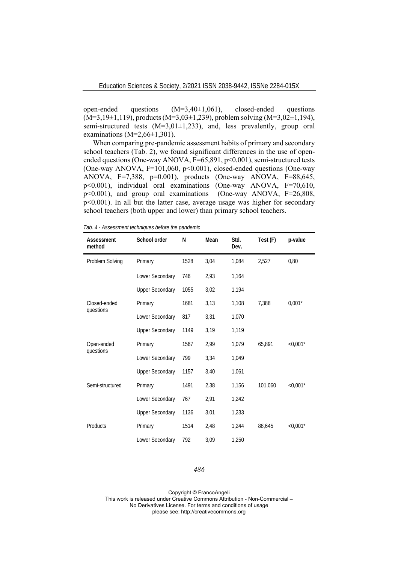open-ended questions (M=3,40±1,061), closed-ended questions  $(M=3,19\pm1,119)$ , products  $(M=3,03\pm1,239)$ , problem solving  $(M=3,02\pm1,194)$ , semi-structured tests (M=3,01±1,233), and, less prevalently, group oral examinations ( $M=2,66\pm1,301$ ).

When comparing pre-pandemic assessment habits of primary and secondary school teachers (Tab. 2), we found significant differences in the use of openended questions (One-way ANOVA, F=65,891, p<0.001), semi-structured tests (One-way ANOVA, F=101,060, p<0.001), closed-ended questions (One-way ANOVA, F=7,388, p=0.001), products (One-way ANOVA, F=88,645, p<0.001), individual oral examinations (One-way ANOVA, F=70,610, p<0.001), and group oral examinations (One-way ANOVA, F=26,808, p<0.001). In all but the latter case, average usage was higher for secondary school teachers (both upper and lower) than primary school teachers.

| Assessment<br>method | School order           | N    | Mean | Std.<br>Dev. | Test (F) | p-value       |
|----------------------|------------------------|------|------|--------------|----------|---------------|
| Problem Solving      | Primary                | 1528 | 3,04 | 1,084        | 2,527    | 0,80          |
|                      | Lower Secondary        | 746  | 2,93 | 1,164        |          |               |
|                      | <b>Upper Secondary</b> | 1055 | 3,02 | 1,194        |          |               |
| Closed-ended         | Primary                | 1681 | 3,13 | 1,108        | 7,388    | $0,001*$      |
| questions            | Lower Secondary        | 817  | 3,31 | 1,070        |          |               |
|                      | <b>Upper Secondary</b> | 1149 | 3,19 | 1,119        |          |               |
| Open-ended           | Primary                | 1567 | 2,99 | 1,079        | 65,891   | $<$ 0,001 $*$ |
| questions            | Lower Secondary        | 799  | 3,34 | 1,049        |          |               |
|                      | <b>Upper Secondary</b> | 1157 | 3,40 | 1,061        |          |               |
| Semi-structured      | Primary                | 1491 | 2,38 | 1,156        | 101,060  | $<$ 0,001 $*$ |
|                      | Lower Secondary        | 767  | 2,91 | 1,242        |          |               |
|                      | <b>Upper Secondary</b> | 1136 | 3,01 | 1,233        |          |               |
| Products             | Primary                | 1514 | 2,48 | 1,244        | 88,645   | $< 0.001*$    |
|                      | Lower Secondary        | 792  | 3,09 | 1,250        |          |               |

*Tab. 4 - Assessment techniques before the pandemic* 

### *486*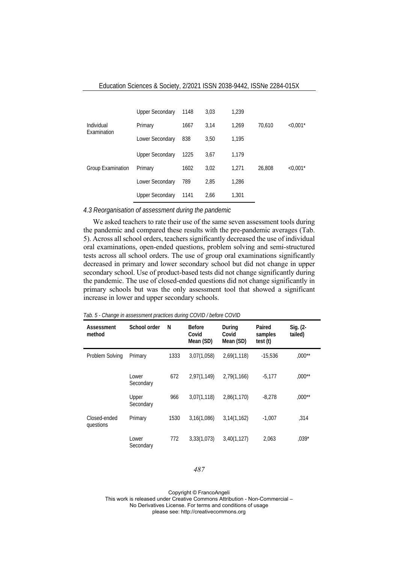|                           | <b>Upper Secondary</b> | 1148 | 3,03 | 1,239 |        |            |
|---------------------------|------------------------|------|------|-------|--------|------------|
| Individual<br>Examination | Primary                | 1667 | 3,14 | 1.269 | 70,610 | $< 0.001*$ |
|                           | Lower Secondary        | 838  | 3,50 | 1,195 |        |            |
|                           | <b>Upper Secondary</b> | 1225 | 3,67 | 1.179 |        |            |
| <b>Group Examination</b>  | Primary                | 1602 | 3,02 | 1.271 | 26,808 | $< 0.001*$ |
|                           | Lower Secondary        | 789  | 2,85 | 1,286 |        |            |
|                           | <b>Upper Secondary</b> | 1141 | 2.66 | 1,301 |        |            |

## *4.3 Reorganisation of assessment during the pandemic*

We asked teachers to rate their use of the same seven assessment tools during the pandemic and compared these results with the pre-pandemic averages (Tab. 5). Across all school orders, teachers significantly decreased the use of individual oral examinations, open-ended questions, problem solving and semi-structured tests across all school orders. The use of group oral examinations significantly decreased in primary and lower secondary school but did not change in upper secondary school. Use of product-based tests did not change significantly during the pandemic. The use of closed-ended questions did not change significantly in primary schools but was the only assessment tool that showed a significant increase in lower and upper secondary schools.

| Assessment<br>method      | School order       | N    | <b>Before</b><br>Covid<br>Mean (SD) | During<br>Covid<br>Mean (SD) | Paired<br>samples<br>test (t) | $Sig. (2 -$<br>tailed) |
|---------------------------|--------------------|------|-------------------------------------|------------------------------|-------------------------------|------------------------|
| Problem Solving           | Primary            | 1333 | 3,07(1,058)                         | 2,69(1,118)                  | $-15,536$                     | $,000**$               |
|                           | Lower<br>Secondary | 672  | 2,97(1,149)                         | 2,79(1,166)                  | $-5,177$                      | $,000**$               |
|                           | Upper<br>Secondary | 966  | 3,07(1,118)                         | 2,86(1,170)                  | $-8.278$                      | $,000**$               |
| Closed-ended<br>questions | Primary            | 1530 | 3,16(1,086)                         | 3,14(1,162)                  | $-1,007$                      | ,314                   |
|                           | Lower<br>Secondary | 772  | 3,33(1,073)                         | 3,40(1,127)                  | 2,063                         | $,039*$                |

*Tab. 5 - Change in assessment practices during COVID / before COVID* 

### *487*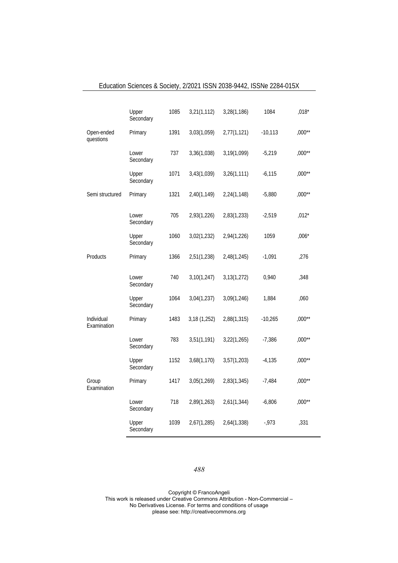|                           | Upper<br>Secondary | 1085 | 3,21(1,112)  | 3,28(1,186) | 1084      | $,018*$  |
|---------------------------|--------------------|------|--------------|-------------|-----------|----------|
| Open-ended<br>questions   | Primary            | 1391 | 3,03(1,059)  | 2,77(1,121) | $-10,113$ | $,000**$ |
|                           | Lower<br>Secondary | 737  | 3,36(1,038)  | 3,19(1,099) | $-5,219$  | ,000**   |
|                           | Upper<br>Secondary | 1071 | 3,43(1,039)  | 3,26(1,111) | $-6,115$  | $,000**$ |
| Semi structured           | Primary            | 1321 | 2,40(1,149)  | 2,24(1,148) | $-5,880$  | $,000**$ |
|                           | Lower<br>Secondary | 705  | 2,93(1,226)  | 2,83(1,233) | $-2,519$  | $,012*$  |
|                           | Upper<br>Secondary | 1060 | 3,02(1,232)  | 2,94(1,226) | 1059      | $,006*$  |
| Products                  | Primary            | 1366 | 2,51(1,238)  | 2,48(1,245) | $-1,091$  | .276     |
|                           | Lower<br>Secondary | 740  | 3,10(1,247)  | 3,13(1,272) | 0,940     | ,348     |
|                           | Upper<br>Secondary | 1064 | 3,04(1,237)  | 3,09(1,246) | 1,884     | ,060     |
| Individual<br>Examination | Primary            | 1483 | 3,18 (1,252) | 2,88(1,315) | $-10,265$ | $,000**$ |
|                           | Lower<br>Secondary | 783  | 3,51(1,191)  | 3,22(1,265) | $-7,386$  | $,000**$ |
|                           | Upper<br>Secondary | 1152 | 3,68(1,170)  | 3,57(1,203) | $-4,135$  | $,000**$ |
| Group<br>Examination      | Primary            | 1417 | 3,05(1,269)  | 2,83(1,345) | $-7,484$  | $,000**$ |
|                           | Lower<br>Secondary | 718  | 2,89(1,263)  | 2,61(1,344) | $-6,806$  | $,000**$ |
|                           | Upper<br>Secondary | 1039 | 2,67(1,285)  | 2,64(1,338) | $-0.973$  | ,331     |

# Education Sciences & Society, 2/2021 ISSN 2038-9442, ISSNe 2284-015X

# *488*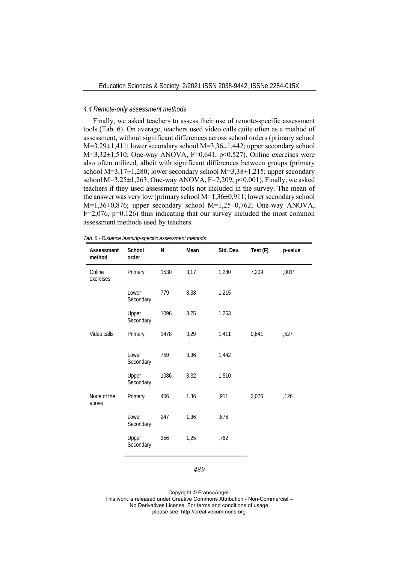## *4.4 Remote-only assessment methods*

Finally, we asked teachers to assess their use of remote-specific assessment tools (Tab. 6). On average, teachers used video calls quite often as a method of assessment, without significant differences across school orders (primary school M=3,29±1,411; lower secondary school M=3,36±1,442; upper secondary school  $M=3,32\pm1,510$ ; One-way ANOVA, F=0,641, p<0.527). Online exercises were also often utilized, albeit with significant differences between groups (primary school M=3,17 $\pm$ 1,280; lower secondary school M=3,38 $\pm$ 1,215; upper secondary school  $M=3,25\pm1,263$ ; One-way ANOVA, F=7,209, p<0.001). Finally, we asked teachers if they used assessment tools not included in the survey. The mean of the answer was very low (primary school M=1,36±0,911; lower secondary school M=1,36±0,876; upper secondary school M=1,25±0,762; One-way ANOVA,  $F=2,076$ ,  $p=0.126$ ) thus indicating that our survey included the most common assessment methods used by teachers.

| Tab. 6 - Distance learning-specific assessment methods |  |  |  |  |  |  |  |
|--------------------------------------------------------|--|--|--|--|--|--|--|
|--------------------------------------------------------|--|--|--|--|--|--|--|

| Assessment<br>method | School<br>order    | N    | Mean | Std. Dev. | Test (F) | p-value |
|----------------------|--------------------|------|------|-----------|----------|---------|
| Online<br>exercises  | Primary            | 1530 | 3,17 | 1,280     | 7,209    | $,001*$ |
|                      | Lower<br>Secondary | 779  | 3,38 | 1,215     |          |         |
|                      | Upper<br>Secondary | 1096 | 3,25 | 1,263     |          |         |
| Video calls          | Primary            | 1478 | 3,29 | 1,411     | 0,641    | ,527    |
|                      | Lower<br>Secondary | 759  | 3,36 | 1,442     |          |         |
|                      | Upper<br>Secondary | 1086 | 3,32 | 1,510     |          |         |
| None of the<br>above | Primary            | 406  | 1,36 | ,911      | 2,076    | ,126    |
|                      | Lower<br>Secondary | 247  | 1,36 | ,876      |          |         |
|                      | Upper<br>Secondary | 356  | 1,25 | ,762      |          |         |

#### *489*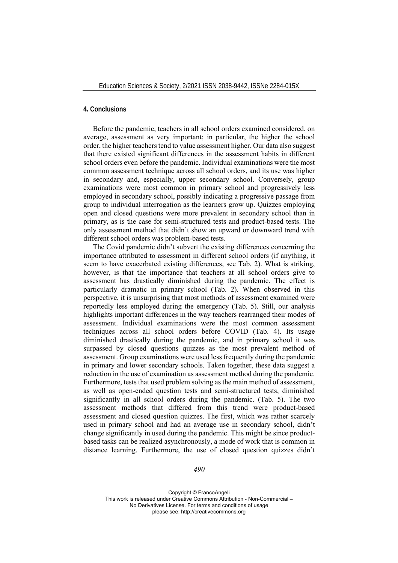# **4. Conclusions**

Before the pandemic, teachers in all school orders examined considered, on average, assessment as very important; in particular, the higher the school order, the higher teachers tend to value assessment higher. Our data also suggest that there existed significant differences in the assessment habits in different school orders even before the pandemic. Individual examinations were the most common assessment technique across all school orders, and its use was higher in secondary and, especially, upper secondary school. Conversely, group examinations were most common in primary school and progressively less employed in secondary school, possibly indicating a progressive passage from group to individual interrogation as the learners grow up. Quizzes employing open and closed questions were more prevalent in secondary school than in primary, as is the case for semi-structured tests and product-based tests. The only assessment method that didn't show an upward or downward trend with different school orders was problem-based tests.

The Covid pandemic didn't subvert the existing differences concerning the importance attributed to assessment in different school orders (if anything, it seem to have exacerbated existing differences, see Tab. 2). What is striking, however, is that the importance that teachers at all school orders give to assessment has drastically diminished during the pandemic. The effect is particularly dramatic in primary school (Tab. 2). When observed in this perspective, it is unsurprising that most methods of assessment examined were reportedly less employed during the emergency (Tab. 5). Still, our analysis highlights important differences in the way teachers rearranged their modes of assessment. Individual examinations were the most common assessment techniques across all school orders before COVID (Tab. 4). Its usage diminished drastically during the pandemic, and in primary school it was surpassed by closed questions quizzes as the most prevalent method of assessment. Group examinations were used less frequently during the pandemic in primary and lower secondary schools. Taken together, these data suggest a reduction in the use of examination as assessment method during the pandemic. Furthermore, tests that used problem solving as the main method of assessment, as well as open-ended question tests and semi-structured tests, diminished significantly in all school orders during the pandemic. (Tab. 5). The two assessment methods that differed from this trend were product-based assessment and closed question quizzes. The first, which was rather scarcely used in primary school and had an average use in secondary school, didn't change significantly in used during the pandemic. This might be since productbased tasks can be realized asynchronously, a mode of work that is common in distance learning. Furthermore, the use of closed question quizzes didn't

*490*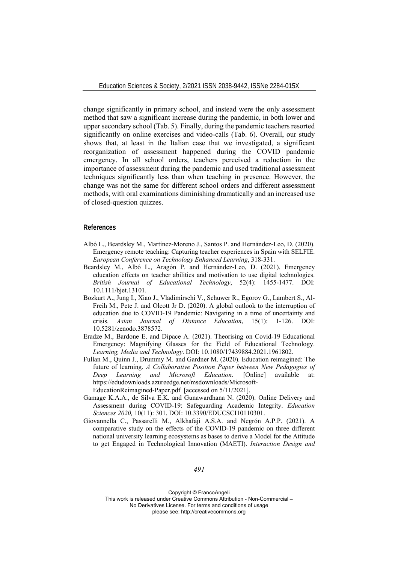change significantly in primary school, and instead were the only assessment method that saw a significant increase during the pandemic, in both lower and upper secondary school (Tab. 5). Finally, during the pandemic teachers resorted significantly on online exercises and video-calls (Tab. 6). Overall, our study shows that, at least in the Italian case that we investigated, a significant reorganization of assessment happened during the COVID pandemic emergency. In all school orders, teachers perceived a reduction in the importance of assessment during the pandemic and used traditional assessment techniques significantly less than when teaching in presence. However, the change was not the same for different school orders and different assessment methods, with oral examinations diminishing dramatically and an increased use of closed-question quizzes.

## **References**

- Albó L., Beardsley M., Martínez-Moreno J., Santos P. and Hernández-Leo, D. (2020). Emergency remote teaching: Capturing teacher experiences in Spain with SELFIE. *European Conference on Technology Enhanced Learning*, 318-331.
- Beardsley M., Albó L., Aragón P. and Hernández-Leo, D. (2021). Emergency education effects on teacher abilities and motivation to use digital technologies. *British Journal of Educational Technology*, 52(4): 1455-1477. DOI: 10.1111/bjet.13101.
- Bozkurt A., Jung I., Xiao J., Vladimirschi V., Schuwer R., Egorov G., Lambert S., Al-Freih M., Pete J. and Olcott Jr D. (2020). A global outlook to the interruption of education due to COVID-19 Pandemic: Navigating in a time of uncertainty and crisis. *Asian Journal of Distance Education*, 15(1): 1-126. DOI: 10.5281/zenodo.3878572.
- Eradze M., Bardone E. and Dipace A. (2021). Theorising on Covid-19 Educational Emergency: Magnifying Glasses for the Field of Educational Technology. *Learning, Media and Technology*. DOI: 10.1080/17439884.2021.1961802.
- Fullan M., Quinn J., Drummy M. and Gardner M. (2020). Education reimagined: The future of learning. *A Collaborative Position Paper between New Pedagogies of Deep Learning and Microsoft Education*. [Online] available at: https://edudownloads.azureedge.net/msdownloads/Microsoft-EducationReimagined-Paper.pdf [accessed on 5/11/2021].
- Gamage K.A.A., de Silva E.K. and Gunawardhana N. (2020). Online Delivery and Assessment during COVID-19: Safeguarding Academic Integrity. *Education Sciences 2020,* 10(11): 301. DOI: 10.3390/EDUCSCI10110301.
- Giovannella C., Passarelli M., Alkhafaji A.S.A. and Negrón A.P.P. (2021). A comparative study on the effects of the COVID-19 pandemic on three different national university learning ecosystems as bases to derive a Model for the Attitude to get Engaged in Technological Innovation (MAETI). *Interaction Design and*